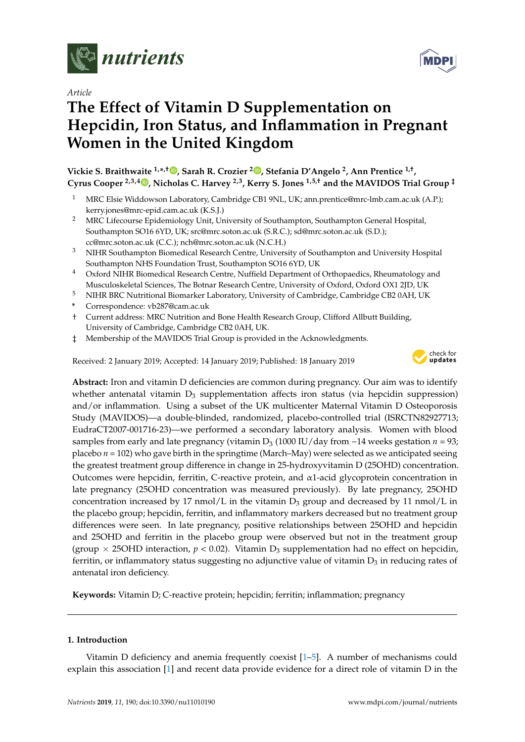

*Article*

# **The Effect of Vitamin D Supplementation on Hepcidin, Iron Status, and Inflammation in Pregnant Women in the United Kingdom**

**Vickie S. Braithwaite 1,\* ,† [,](https://orcid.org/0000-0002-3366-2903) Sarah R. Crozier [2](https://orcid.org/0000-0002-9524-1127) , Stefania D'Angelo <sup>2</sup> , Ann Prentice 1,† , Cyrus Cooper 2,3,4 [,](https://orcid.org/0000-0003-3510-0709) Nicholas C. Harvey 2,3, Kerry S. Jones 1,5,† and the MAVIDOS Trial Group ‡**

- <sup>1</sup> MRC Elsie Widdowson Laboratory, Cambridge CB1 9NL, UK; ann.prentice@mrc-lmb.cam.ac.uk (A.P.); kerry.jones@mrc-epid.cam.ac.uk (K.S.J.)
- <sup>2</sup> MRC Lifecourse Epidemiology Unit, University of Southampton, Southampton General Hospital, Southampton SO16 6YD, UK; src@mrc.soton.ac.uk (S.R.C.); sd@mrc.soton.ac.uk (S.D.); cc@mrc.soton.ac.uk (C.C.); nch@mrc.soton.ac.uk (N.C.H.)
- <sup>3</sup> NIHR Southampton Biomedical Research Centre, University of Southampton and University Hospital Southampton NHS Foundation Trust, Southampton SO16 6YD, UK
- <sup>4</sup> Oxford NIHR Biomedical Research Centre, Nuffield Department of Orthopaedics, Rheumatology and Musculoskeletal Sciences, The Botnar Research Centre, University of Oxford, Oxford OX1 2JD, UK
- <sup>5</sup> NIHR BRC Nutritional Biomarker Laboratory, University of Cambridge, Cambridge CB2 0AH, UK
- **\*** Correspondence: vb287@cam.ac.uk
- † Current address: MRC Nutrition and Bone Health Research Group, Clifford Allbutt Building, University of Cambridge, Cambridge CB2 0AH, UK.
- ‡ Membership of the MAVIDOS Trial Group is provided in the Acknowledgments.

Received: 2 January 2019; Accepted: 14 January 2019; Published: 18 January 2019



**Abstract:** Iron and vitamin D deficiencies are common during pregnancy. Our aim was to identify whether antenatal vitamin  $D_3$  supplementation affects iron status (via hepcidin suppression) and/or inflammation. Using a subset of the UK multicenter Maternal Vitamin D Osteoporosis Study (MAVIDOS)—a double-blinded, randomized, placebo-controlled trial (ISRCTN82927713; EudraCT2007-001716-23)—we performed a secondary laboratory analysis. Women with blood samples from early and late pregnancy (vitamin  $D_3$  (1000 IU/day from  $\sim$  14 weeks gestation *n* = 93; placebo *n* = 102) who gave birth in the springtime (March–May) were selected as we anticipated seeing the greatest treatment group difference in change in 25-hydroxyvitamin D (25OHD) concentration. Outcomes were hepcidin, ferritin, C-reactive protein, and α1-acid glycoprotein concentration in late pregnancy (25OHD concentration was measured previously). By late pregnancy, 25OHD concentration increased by 17 nmol/L in the vitamin  $D_3$  group and decreased by 11 nmol/L in the placebo group; hepcidin, ferritin, and inflammatory markers decreased but no treatment group differences were seen. In late pregnancy, positive relationships between 25OHD and hepcidin and 25OHD and ferritin in the placebo group were observed but not in the treatment group (group  $\times$  25OHD interaction,  $p < 0.02$ ). Vitamin D<sub>3</sub> supplementation had no effect on hepcidin, ferritin, or inflammatory status suggesting no adjunctive value of vitamin  $D_3$  in reducing rates of antenatal iron deficiency.

**Keywords:** Vitamin D; C-reactive protein; hepcidin; ferritin; inflammation; pregnancy

# **1. Introduction**

Vitamin D deficiency and anemia frequently coexist [\[1](#page-8-0)[–5\]](#page-9-0). A number of mechanisms could explain this association [\[1\]](#page-8-0) and recent data provide evidence for a direct role of vitamin D in the

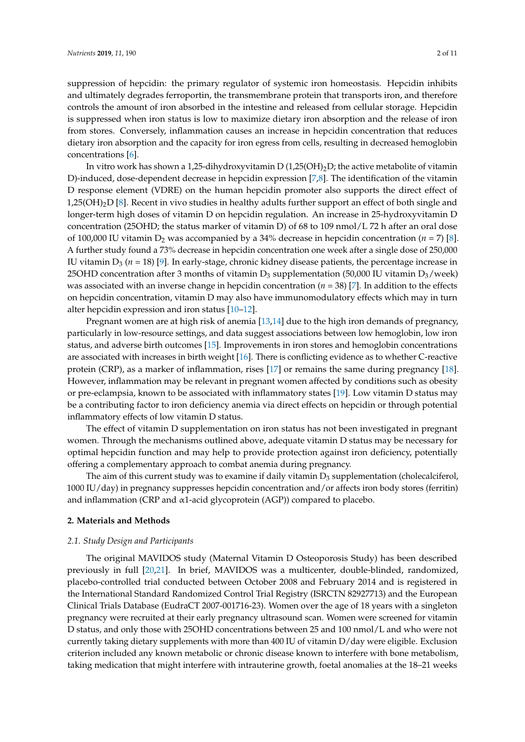suppression of hepcidin: the primary regulator of systemic iron homeostasis. Hepcidin inhibits and ultimately degrades ferroportin, the transmembrane protein that transports iron, and therefore controls the amount of iron absorbed in the intestine and released from cellular storage. Hepcidin is suppressed when iron status is low to maximize dietary iron absorption and the release of iron from stores. Conversely, inflammation causes an increase in hepcidin concentration that reduces dietary iron absorption and the capacity for iron egress from cells, resulting in decreased hemoglobin concentrations [\[6\]](#page-9-1).

In vitro work has shown a 1,25-dihydroxyvitamin D  $(1,25(OH)_2D)$ ; the active metabolite of vitamin D)-induced, dose-dependent decrease in hepcidin expression [\[7](#page-9-2)[,8\]](#page-9-3). The identification of the vitamin D response element (VDRE) on the human hepcidin promoter also supports the direct effect of 1,25( $OH$ )<sub>2</sub>D [\[8\]](#page-9-3). Recent in vivo studies in healthy adults further support an effect of both single and longer-term high doses of vitamin D on hepcidin regulation. An increase in 25-hydroxyvitamin D concentration (25OHD; the status marker of vitamin D) of 68 to 109 nmol/L 72 h after an oral dose of 100,000 IU vitamin  $D_2$  was accompanied by a 34% decrease in hepcidin concentration ( $n = 7$ ) [\[8\]](#page-9-3). A further study found a 73% decrease in hepcidin concentration one week after a single dose of 250,000 IU vitamin  $D_3$  ( $n = 18$ ) [\[9\]](#page-9-4). In early-stage, chronic kidney disease patients, the percentage increase in 25OHD concentration after 3 months of vitamin  $D_3$  supplementation (50,000 IU vitamin  $D_3$ /week) was associated with an inverse change in hepcidin concentration (*n* = 38) [\[7\]](#page-9-2). In addition to the effects on hepcidin concentration, vitamin D may also have immunomodulatory effects which may in turn alter hepcidin expression and iron status [\[10–](#page-9-5)[12\]](#page-9-6).

Pregnant women are at high risk of anemia [\[13](#page-9-7)[,14\]](#page-9-8) due to the high iron demands of pregnancy, particularly in low-resource settings, and data suggest associations between low hemoglobin, low iron status, and adverse birth outcomes [\[15\]](#page-9-9). Improvements in iron stores and hemoglobin concentrations are associated with increases in birth weight [\[16\]](#page-9-10). There is conflicting evidence as to whether C-reactive protein (CRP), as a marker of inflammation, rises [\[17\]](#page-9-11) or remains the same during pregnancy [\[18\]](#page-9-12). However, inflammation may be relevant in pregnant women affected by conditions such as obesity or pre-eclampsia, known to be associated with inflammatory states [\[19\]](#page-9-13). Low vitamin D status may be a contributing factor to iron deficiency anemia via direct effects on hepcidin or through potential inflammatory effects of low vitamin D status.

The effect of vitamin D supplementation on iron status has not been investigated in pregnant women. Through the mechanisms outlined above, adequate vitamin D status may be necessary for optimal hepcidin function and may help to provide protection against iron deficiency, potentially offering a complementary approach to combat anemia during pregnancy.

The aim of this current study was to examine if daily vitamin  $D_3$  supplementation (cholecalciferol, 1000 IU/day) in pregnancy suppresses hepcidin concentration and/or affects iron body stores (ferritin) and inflammation (CRP and α1-acid glycoprotein (AGP)) compared to placebo.

# **2. Materials and Methods**

#### *2.1. Study Design and Participants*

The original MAVIDOS study (Maternal Vitamin D Osteoporosis Study) has been described previously in full [\[20](#page-9-14)[,21\]](#page-9-15). In brief, MAVIDOS was a multicenter, double-blinded, randomized, placebo-controlled trial conducted between October 2008 and February 2014 and is registered in the International Standard Randomized Control Trial Registry (ISRCTN 82927713) and the European Clinical Trials Database (EudraCT 2007-001716-23). Women over the age of 18 years with a singleton pregnancy were recruited at their early pregnancy ultrasound scan. Women were screened for vitamin D status, and only those with 25OHD concentrations between 25 and 100 nmol/L and who were not currently taking dietary supplements with more than 400 IU of vitamin D/day were eligible. Exclusion criterion included any known metabolic or chronic disease known to interfere with bone metabolism, taking medication that might interfere with intrauterine growth, foetal anomalies at the 18–21 weeks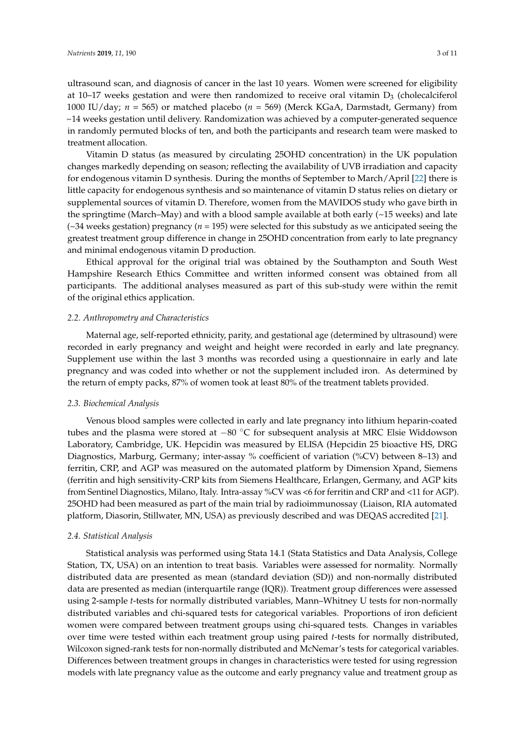ultrasound scan, and diagnosis of cancer in the last 10 years. Women were screened for eligibility at 10–17 weeks gestation and were then randomized to receive oral vitamin  $D_3$  (cholecalciferol 1000 IU/day; *n* = 565) or matched placebo (*n* = 569) (Merck KGaA, Darmstadt, Germany) from ~14 weeks gestation until delivery. Randomization was achieved by a computer-generated sequence in randomly permuted blocks of ten, and both the participants and research team were masked to treatment allocation.

Vitamin D status (as measured by circulating 25OHD concentration) in the UK population changes markedly depending on season; reflecting the availability of UVB irradiation and capacity for endogenous vitamin D synthesis. During the months of September to March/April [\[22\]](#page-9-16) there is little capacity for endogenous synthesis and so maintenance of vitamin D status relies on dietary or supplemental sources of vitamin D. Therefore, women from the MAVIDOS study who gave birth in the springtime (March–May) and with a blood sample available at both early  $(\sim 15$  weeks) and late (~34 weeks gestation) pregnancy (*n* = 195) were selected for this substudy as we anticipated seeing the greatest treatment group difference in change in 25OHD concentration from early to late pregnancy and minimal endogenous vitamin D production.

Ethical approval for the original trial was obtained by the Southampton and South West Hampshire Research Ethics Committee and written informed consent was obtained from all participants. The additional analyses measured as part of this sub-study were within the remit of the original ethics application.

#### *2.2. Anthropometry and Characteristics*

Maternal age, self-reported ethnicity, parity, and gestational age (determined by ultrasound) were recorded in early pregnancy and weight and height were recorded in early and late pregnancy. Supplement use within the last 3 months was recorded using a questionnaire in early and late pregnancy and was coded into whether or not the supplement included iron. As determined by the return of empty packs, 87% of women took at least 80% of the treatment tablets provided.

#### *2.3. Biochemical Analysis*

Venous blood samples were collected in early and late pregnancy into lithium heparin-coated tubes and the plasma were stored at −80 ◦C for subsequent analysis at MRC Elsie Widdowson Laboratory, Cambridge, UK. Hepcidin was measured by ELISA (Hepcidin 25 bioactive HS, DRG Diagnostics, Marburg, Germany; inter-assay % coefficient of variation (%CV) between 8–13) and ferritin, CRP, and AGP was measured on the automated platform by Dimension Xpand, Siemens (ferritin and high sensitivity-CRP kits from Siemens Healthcare, Erlangen, Germany, and AGP kits from Sentinel Diagnostics, Milano, Italy. Intra-assay %CV was <6 for ferritin and CRP and <11 for AGP). 25OHD had been measured as part of the main trial by radioimmunossay (Liaison, RIA automated platform, Diasorin, Stillwater, MN, USA) as previously described and was DEQAS accredited [\[21\]](#page-9-15).

#### *2.4. Statistical Analysis*

Statistical analysis was performed using Stata 14.1 (Stata Statistics and Data Analysis, College Station, TX, USA) on an intention to treat basis. Variables were assessed for normality. Normally distributed data are presented as mean (standard deviation (SD)) and non-normally distributed data are presented as median (interquartile range (IQR)). Treatment group differences were assessed using 2-sample *t*-tests for normally distributed variables, Mann–Whitney U tests for non-normally distributed variables and chi-squared tests for categorical variables. Proportions of iron deficient women were compared between treatment groups using chi-squared tests. Changes in variables over time were tested within each treatment group using paired *t*-tests for normally distributed, Wilcoxon signed-rank tests for non-normally distributed and McNemar's tests for categorical variables. Differences between treatment groups in changes in characteristics were tested for using regression models with late pregnancy value as the outcome and early pregnancy value and treatment group as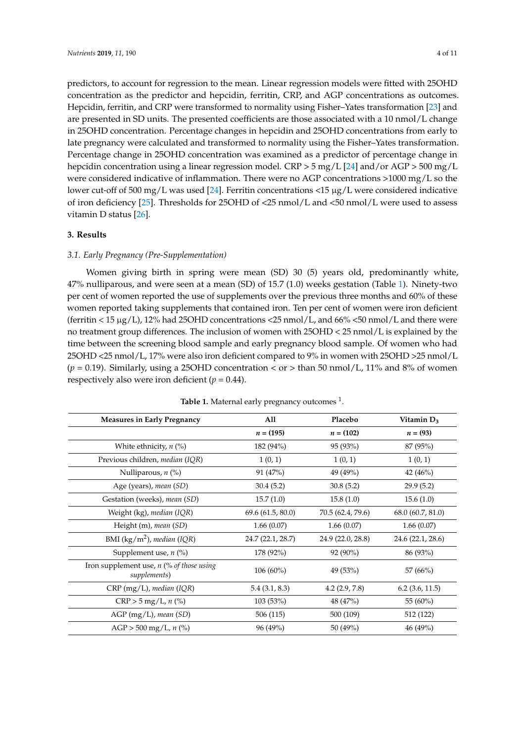predictors, to account for regression to the mean. Linear regression models were fitted with 25OHD concentration as the predictor and hepcidin, ferritin, CRP, and AGP concentrations as outcomes. Hepcidin, ferritin, and CRP were transformed to normality using Fisher–Yates transformation [\[23\]](#page-9-17) and are presented in SD units. The presented coefficients are those associated with a 10 nmol/L change in 25OHD concentration. Percentage changes in hepcidin and 25OHD concentrations from early to late pregnancy were calculated and transformed to normality using the Fisher–Yates transformation. Percentage change in 25OHD concentration was examined as a predictor of percentage change in hepcidin concentration using a linear regression model. CRP > 5 mg/L [\[24\]](#page-10-0) and/or AGP > 500 mg/L were considered indicative of inflammation. There were no AGP concentrations >1000 mg/L so the lower cut-off of 500 mg/L was used [\[24\]](#page-10-0). Ferritin concentrations <15 µg/L were considered indicative of iron deficiency [\[25\]](#page-10-1). Thresholds for 25OHD of <25 nmol/L and <50 nmol/L were used to assess vitamin D status [\[26\]](#page-10-2).

## **3. Results**

#### *3.1. Early Pregnancy (Pre-Supplementation)*

Women giving birth in spring were mean (SD) 30 (5) years old, predominantly white, 47% nulliparous, and were seen at a mean (SD) of 15.7 (1.0) weeks gestation (Table [1\)](#page-4-0). Ninety-two per cent of women reported the use of supplements over the previous three months and 60% of these women reported taking supplements that contained iron. Ten per cent of women were iron deficient (ferritin < 15  $\mu$ g/L), 12% had 25OHD concentrations <25 nmol/L, and 66% <50 nmol/L and there were no treatment group differences. The inclusion of women with 25OHD < 25 nmol/L is explained by the time between the screening blood sample and early pregnancy blood sample. Of women who had 25OHD <25 nmol/L, 17% were also iron deficient compared to 9% in women with 25OHD >25 nmol/L  $(p = 0.19)$ . Similarly, using a 25OHD concentration < or > than 50 nmol/L, 11% and 8% of women respectively also were iron deficient  $(p = 0.44)$ .

| <b>Measures in Early Pregnancy</b>                         | All               | Placebo           | Vitamin $D_3$     |
|------------------------------------------------------------|-------------------|-------------------|-------------------|
|                                                            | $n = (195)$       | $n = (102)$       | $n = (93)$        |
| White ethnicity, $n$ (%)                                   | 182 (94%)         | 95 (93%)          | 87 (95%)          |
| Previous children, median (IQR)                            | 1(0, 1)           | 1(0,1)            | 1(0,1)            |
| Nulliparous, $n$ $(\%)$                                    | 91 (47%)          | 49 (49%)          | 42(46%)           |
| Age (years), mean (SD)                                     | 30.4(5.2)         | 30.8(5.2)         | 29.9(5.2)         |
| Gestation (weeks), mean (SD)                               | 15.7(1.0)         | 15.8(1.0)         | 15.6(1.0)         |
| Weight (kg), median (IQR)                                  | 69.6 (61.5, 80.0) | 70.5 (62.4, 79.6) | 68.0 (60.7, 81.0) |
| Height (m), mean (SD)                                      | 1.66(0.07)        | 1.66(0.07)        | 1.66(0.07)        |
| BMI (kg/m <sup>2</sup> ), median (IQR)                     | 24.7 (22.1, 28.7) | 24.9 (22.0, 28.8) | 24.6 (22.1, 28.6) |
| Supplement use, $n$ (%)                                    | 178 (92%)         | 92 (90%)          | 86 (93%)          |
| Iron supplement use, $n$ (% of those using<br>supplements) | $106(60\%)$       | 49 (53%)          | 57 (66%)          |
| $CRP$ (mg/L), median (IQR)                                 | 5.4(3.1, 8.3)     | 4.2(2.9, 7.8)     | $6.2$ (3.6, 11.5) |
| $CRP > 5$ mg/L, n $(\%)$                                   | 103 (53%)         | 48 (47%)          | 55 $(60\%)$       |
| AGP (mg/L), mean (SD)                                      | 506 (115)         | 500 (109)         | 512 (122)         |
| $AGP > 500$ mg/L, n $(\%)$                                 | 96(49%)           | 50 $(49\%)$       | 46(49%)           |

Table 1. Maternal early pregnancy outcomes <sup>1</sup>.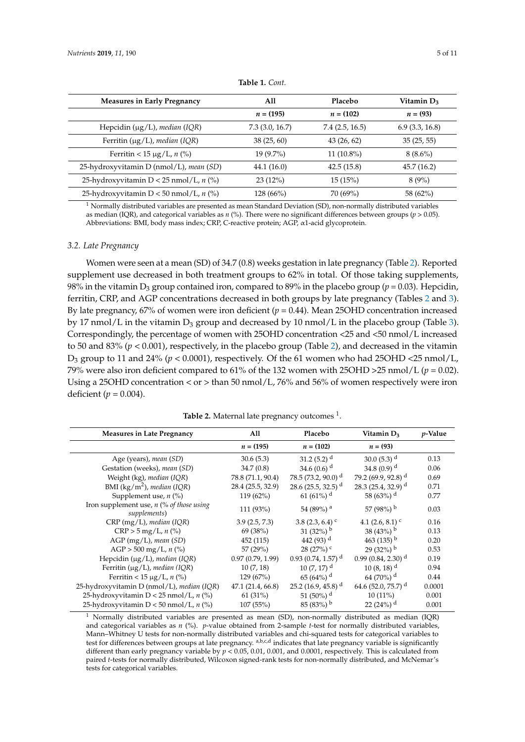<span id="page-4-0"></span>

| <b>Measures in Early Pregnancy</b>                   | All            | <b>Placebo</b> | Vitamin D <sub>3</sub> |
|------------------------------------------------------|----------------|----------------|------------------------|
|                                                      | $n = (195)$    | $n = (102)$    | $n = (93)$             |
| Hepcidin $(\mu g/L)$ , median (IQR)                  | 7.3(3.0, 16.7) | 7.4(2.5, 16.5) | 6.9(3.3, 16.8)         |
| Ferritin $(\mu g/L)$ , <i>median</i> (IQR)           | 38(25, 60)     | 43(26, 62)     | 35(25, 55)             |
| Ferritin < 15 $\mu$ g/L, <i>n</i> (%)                | $19(9.7\%)$    | $11(10.8\%)$   | $8(8.6\%)$             |
| 25-hydroxyvitamin D (nmol/L), <i>mean</i> (SD)       | 44.1 (16.0)    | 42.5(15.8)     | 45.7 (16.2)            |
| 25-hydroxyvitamin $D < 25$ nmol/L, n $\frac{1}{2}$   | 23(12%)        | 15(15%)        | 8(9%)                  |
| 25-hydroxyvitamin $D < 50$ nmol/L, n $\frac{9}{6}$ ) | $128(66\%)$    | 70(69%)        | 58 (62%)               |

**Table 1.** *Cont.*

 $1$  Normally distributed variables are presented as mean Standard Deviation (SD), non-normally distributed variables as median (IQR), and categorical variables as *n* (%). There were no significant differences between groups (*p* > 0.05). Abbreviations: BMI, body mass index; CRP, C-reactive protein; AGP, α1-acid glycoprotein.

#### *3.2. Late Pregnancy*

Women were seen at a mean (SD) of 34.7 (0.8) weeks gestation in late pregnancy (Table [2\)](#page-4-1). Reported supplement use decreased in both treatment groups to 62% in total. Of those taking supplements, 98% in the vitamin  $D_3$  group contained iron, compared to 89% in the placebo group ( $p = 0.03$ ). Hepcidin, ferritin, CRP, and AGP concentrations decreased in both groups by late pregnancy (Tables [2](#page-4-1) and [3\)](#page-5-0). By late pregnancy, 67% of women were iron deficient (*p* = 0.44). Mean 25OHD concentration increased by 17 nmol/L in the vitamin  $D_3$  group and decreased by 10 nmol/L in the placebo group (Table [3\)](#page-5-0). Correspondingly, the percentage of women with 25OHD concentration <25 and <50 nmol/L increased to 50 and 83% (*p* < 0.001), respectively, in the placebo group (Table [2\)](#page-4-1), and decreased in the vitamin  $D_3$  group to 11 and 24% ( $p < 0.0001$ ), respectively. Of the 61 women who had 25OHD <25 nmol/L, 79% were also iron deficient compared to 61% of the 132 women with 25OHD >25 nmol/L ( $p = 0.02$ ). Using a 25OHD concentration < or > than 50 nmol/L, 76% and 56% of women respectively were iron deficient ( $p = 0.004$ ).

**Table 2.** Maternal late pregnancy outcomes <sup>1</sup>.

<span id="page-4-1"></span>

| <b>Measures in Late Pregnancy</b>                          | All               | Placebo                          | Vitamin D <sub>3</sub>           | <i>p</i> -Value |
|------------------------------------------------------------|-------------------|----------------------------------|----------------------------------|-----------------|
|                                                            | $n = (195)$       | $n = (102)$                      | $n = (93)$                       |                 |
| Age (years), mean (SD)                                     | 30.6(5.3)         | 31.2 $(5.2)^{d}$                 | 30.0 $(5.3)^{d}$                 | 0.13            |
| Gestation (weeks), mean (SD)                               | 34.7(0.8)         | 34.6 $(0.6)$ <sup>d</sup>        | 34.8 (0.9) <sup>d</sup>          | 0.06            |
| Weight (kg), median (IQR)                                  | 78.8 (71.1, 90.4) | 78.5 $(73.2, 90.0)$ <sup>d</sup> | 79.2 $(69.9, 92.8)$ <sup>d</sup> | 0.69            |
| BMI (kg/m <sup>2</sup> ), median (IQR)                     | 28.4 (25.5, 32.9) | 28.6 (25.5, 32.5) <sup>d</sup>   | 28.3 (25.4, 32.9) <sup>d</sup>   | 0.71            |
| Supplement use, $n$ (%)                                    | $119(62\%)$       | 61 (61%) <sup>d</sup>            | 58 (63%) <sup>d</sup>            | 0.77            |
| Iron supplement use, $n$ (% of those using<br>supplements) | 111 (93%)         | 54 (89%) <sup>a</sup>            | 57 (98%) $^{\rm b}$              | 0.03            |
| $CRP(mg/L)$ , median (IQR)                                 | 3.9(2.5, 7.3)     | 3.8 $(2.3, 6.4)$ <sup>c</sup>    | 4.1 $(2.6, 8.1)$ <sup>c</sup>    | 0.16            |
| $CRP > 5$ mg/L, n (%)                                      | 69 (38%)          | 31 (32%) $^{\rm b}$              | 38 (43%) $^{\rm b}$              | 0.13            |
| $AGP$ (mg/L), mean (SD)                                    | 452 (115)         | 442 $(93)^d$                     | 463 (135) <sup>b</sup>           | 0.20            |
| $AGP > 500$ mg/L, n $\frac{\%}{\%}$                        | 57 $(29%)$        | $28(27%)$ c                      | $29(32%)$ <sup>b</sup>           | 0.53            |
| Hepcidin $(\mu g/L)$ , median (IQR)                        | 0.97(0.79, 1.99)  | $0.93(0.74, 1.57)$ <sup>d</sup>  | $0.99(0.84, 2.30)$ <sup>d</sup>  | 0.19            |
| Ferritin (µg/L), median (IQR)                              | 10(7, 18)         | 10 $(7, 17)$ <sup>d</sup>        | $10(8, 18)^{d}$                  | 0.94            |
| Ferritin < 15 $\mu$ g/L, n (%)                             | 129(67%)          | $65(64%)$ <sup>d</sup>           | 64 (70%) <sup>d</sup>            | 0.44            |
| 25-hydroxyvitamin D (nmol/L), median (IQR)                 | 47.1(21.4, 66.8)  | 25.2 (16.9, 45.8) <sup>d</sup>   | 64.6 (52.0, 75.7) <sup>d</sup>   | 0.0001          |
| 25-hydroxyvitamin $D < 25$ nmol/L, n $\frac{9}{6}$ )       | 61(31%)           | 51 (50%) <sup>d</sup>            | $10(11\%)$                       | 0.001           |
| 25-hydroxyvitamin $D < 50$ nmol/L, n (%)                   | 107(55%)          | $85(83%)$ <sup>b</sup>           | 22 (24%) <sup>d</sup>            | 0.001           |

 $1$  Normally distributed variables are presented as mean (SD), non-normally distributed as median (IQR) and categorical variables as *n* (%). *p*-value obtained from 2-sample *t*-test for normally distributed variables, Mann–Whitney U tests for non-normally distributed variables and chi-squared tests for categorical variables to test for differences between groups at late pregnancy.  $a,b,c,d$  indicates that late pregnancy variable is significantly different than early pregnancy variable by  $p < 0.05$ , 0.01, 0.001, and 0.0001, respectively. This is calculated from paired *t*-tests for normally distributed, Wilcoxon signed-rank tests for non-normally distributed, and McNemar's tests for categorical variables.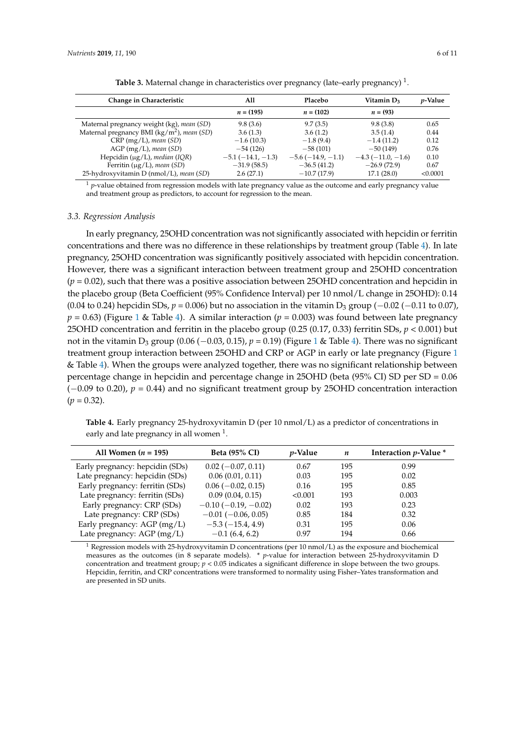| <b>Table 3.</b> Maternal change in characteristics over pregnancy (late-early pregnancy) <sup>1</sup> . |     |         |               |                 |
|---------------------------------------------------------------------------------------------------------|-----|---------|---------------|-----------------|
| hange in Characteristic                                                                                 | All | Placebo | Vitamin $D_3$ | <i>p</i> -Value |

<span id="page-5-0"></span>

| Change in Characteristic                               | All                | Placebo            | Vitamin D <sub>3</sub> | <i>p</i> -Value |
|--------------------------------------------------------|--------------------|--------------------|------------------------|-----------------|
|                                                        | $n = (195)$        | $n = (102)$        | $n = (93)$             |                 |
| Maternal pregnancy weight (kg), mean (SD)              | 9.8(3.6)           | 9.7(3.5)           | 9.8(3.8)               | 0.65            |
| Maternal pregnancy BMI (kg/m <sup>2</sup> ), mean (SD) | 3.6(1.3)           | 3.6(1.2)           | 3.5(1.4)               | 0.44            |
| $CRP(mg/L)$ , mean (SD)                                | $-1.6(10.3)$       | $-1.8(9.4)$        | $-1.4(11.2)$           | 0.12            |
| $AGP$ (mg/L), mean (SD)                                | $-54(126)$         | $-58(101)$         | $-50(149)$             | 0.76            |
| Hepcidin ( $\mu$ g/L), median (IQR)                    | $-5.1(-14.1,-1.3)$ | $-5.6(-14.9,-1.1)$ | $-4.3(-11.0,-1.6)$     | 0.10            |
| Ferritin $(\mu g/L)$ , mean (SD)                       | $-31.9(58.5)$      | $-36.5(41.2)$      | $-26.9(72.9)$          | 0.67            |
| 25-hydroxyvitamin D (nmol/L), mean (SD)                | 2.6(27.1)          | $-10.7(17.9)$      | 17.1(28.0)             | < 0.0001        |

<sup>1</sup> *p*-value obtained from regression models with late pregnancy value as the outcome and early pregnancy value and treatment group as predictors, to account for regression to the mean.

#### *3.3. Regression Analysis*

In early pregnancy, 25OHD concentration was not significantly associated with hepcidin or ferritin concentrations and there was no difference in these relationships by treatment group (Table [4\)](#page-5-1). In late pregnancy, 25OHD concentration was significantly positively associated with hepcidin concentration. However, there was a significant interaction between treatment group and 25OHD concentration  $(p = 0.02)$ , such that there was a positive association between 25OHD concentration and hepcidin in the placebo group (Beta Coefficient (95% Confidence Interval) per 10 nmol/L change in 25OHD): 0.14 (0.04 to 0.24) hepcidin SDs,  $p = 0.006$ ) but no association in the vitamin D<sub>3</sub> group ( $-0.02$  ( $-0.11$  to 0.07),  $p = 0.63$ ) (Figure [1](#page-6-0) & Table [4\)](#page-5-1). A similar interaction ( $p = 0.003$ ) was found between late pregnancy 25OHD concentration and ferritin in the placebo group (0.25 (0.17, 0.33) ferritin SDs, *p* < 0.001) but not in the vitamin D<sup>3</sup> group (0.06 (−0.03, 0.15), *p* = 0.19) (Figure [1](#page-6-0) & Table [4\)](#page-5-1). There was no significant treatment group interaction between 25OHD and CRP or AGP in early or late pregnancy (Figure [1](#page-6-0) & Table [4\)](#page-5-1). When the groups were analyzed together, there was no significant relationship between percentage change in hepcidin and percentage change in 25OHD (beta (95% CI) SD per SD = 0.06 (−0.09 to 0.20), *p* = 0.44) and no significant treatment group by 25OHD concentration interaction  $(p = 0.32)$ .

<span id="page-5-1"></span>**Table 4.** Early pregnancy 25-hydroxyvitamin D (per 10 nmol/L) as a predictor of concentrations in early and late pregnancy in all women  $^1$ .

| All Women $(n = 195)$           | <b>Beta (95% CI)</b>          | <i>v</i> -Value | n   | Interaction <i>p</i> -Value * |
|---------------------------------|-------------------------------|-----------------|-----|-------------------------------|
| Early pregnancy: hepcidin (SDs) | $0.02$ (-0.07, 0.11)          | 0.67            | 195 | 0.99                          |
| Late pregnancy: hepcidin (SDs)  | 0.06(0.01, 0.11)              | 0.03            | 195 | 0.02                          |
| Early pregnancy: ferritin (SDs) | $0.06 (-0.02, 0.15)$          | 0.16            | 195 | 0.85                          |
| Late pregnancy: ferritin (SDs)  | 0.09(0.04, 0.15)              | < 0.001         | 193 | 0.003                         |
| Early pregnancy: CRP (SDs)      | $-0.10$ ( $-0.19$ , $-0.02$ ) | 0.02            | 193 | 0.23                          |
| Late pregnancy: CRP (SDs)       | $-0.01$ ( $-0.06$ , 0.05)     | 0.85            | 184 | 0.32                          |
| Early pregnancy: AGP (mg/L)     | $-5.3(-15.4, 4.9)$            | 0.31            | 195 | 0.06                          |
| Late pregnancy: $AGP$ (mg/L)    | $-0.1(6.4, 6.2)$              | 0.97            | 194 | 0.66                          |

 $1$  Regression models with 25-hydroxyvitamin D concentrations (per 10 nmol/L) as the exposure and biochemical measures as the outcomes (in 8 separate models). \* *p*-value for interaction between 25-hydroxyvitamin D concentration and treatment group; *p* < 0.05 indicates a significant difference in slope between the two groups. Hepcidin, ferritin, and CRP concentrations were transformed to normality using Fisher–Yates transformation and are presented in SD units.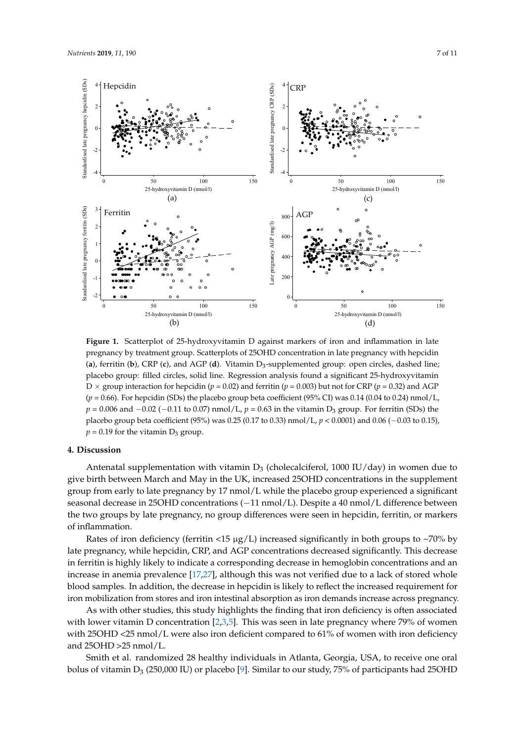<span id="page-6-0"></span>

**Figure 1.** Scatterplot of 25-hydroxyvitamin D against markers of iron and inflammation in late pregnancy by treatment group. Scatterplots of 25OHD concentration in late pregnancy with hepcidin (**a**), ferritin (**b**), CRP (**c**), and AGP (**d**). Vitamin D<sup>3</sup> -supplemented group: open circles, dashed line; placebo group: filled circles, solid line. Regression analysis found a significant 25-hydroxyvitamin D  $\times$  group interaction for hepcidin (*p* = 0.02) and ferritin (*p* = 0.003) but not for CRP (*p* = 0.32) and AGP  $(p = 0.66)$ . For hepcidin (SDs) the placebo group beta coefficient (95% CI) was 0.14 (0.04 to 0.24) nmol/L,  $p = 0.006$  and  $-0.02$  ( $-0.11$  to 0.07) nmol/L,  $p = 0.63$  in the vitamin D<sub>3</sub> group. For ferritin (SDs) the placebo group beta coefficient (95%) was 0.25 (0.17 to 0.33) nmol/L, *p* < 0.0001) and 0.06 (−0.03 to 0.15),  $p = 0.19$  for the vitamin  $D_3$  group.

## **4. Discussion**

Antenatal supplementation with vitamin  $D_3$  (cholecalciferol, 1000 IU/day) in women due to give birth between March and May in the UK, increased 25OHD concentrations in the supplement group from early to late pregnancy by 17 nmol/L while the placebo group experienced a significant seasonal decrease in 25OHD concentrations (−11 nmol/L). Despite a 40 nmol/L difference between the two groups by late pregnancy, no group differences were seen in hepcidin, ferritin, or markers of inflammation.

Rates of iron deficiency (ferritin  $\langle 15 \mu g/L \rangle$  increased significantly in both groups to  $\sim 70\%$  by late pregnancy, while hepcidin, CRP, and AGP concentrations decreased significantly. This decrease in ferritin is highly likely to indicate a corresponding decrease in hemoglobin concentrations and an increase in anemia prevalence [\[17,](#page-9-11)[27\]](#page-10-3), although this was not verified due to a lack of stored whole blood samples. In addition, the decrease in hepcidin is likely to reflect the increased requirement for iron mobilization from stores and iron intestinal absorption as iron demands increase across pregnancy.

As with other studies, this study highlights the finding that iron deficiency is often associated with lower vitamin D concentration [\[2](#page-8-1)[,3](#page-8-2)[,5\]](#page-9-0). This was seen in late pregnancy where 79% of women with 25OHD <25 nmol/L were also iron deficient compared to 61% of women with iron deficiency and 25OHD >25 nmol/L.

Smith et al. randomized 28 healthy individuals in Atlanta, Georgia, USA, to receive one oral bolus of vitamin  $D_3$  (250,000 IU) or placebo [\[9\]](#page-9-4). Similar to our study, 75% of participants had 25OHD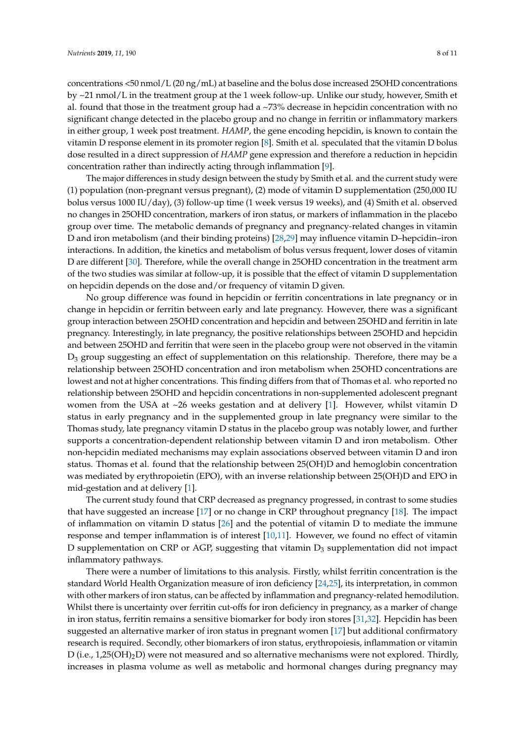concentrations <50 nmol/L (20 ng/mL) at baseline and the bolus dose increased 25OHD concentrations by ~21 nmol/L in the treatment group at the 1 week follow-up. Unlike our study, however, Smith et al. found that those in the treatment group had a  $\sim$ 73% decrease in hepcidin concentration with no significant change detected in the placebo group and no change in ferritin or inflammatory markers in either group, 1 week post treatment. *HAMP*, the gene encoding hepcidin, is known to contain the vitamin D response element in its promoter region [\[8\]](#page-9-3). Smith et al. speculated that the vitamin D bolus

The major differences in study design between the study by Smith et al. and the current study were (1) population (non-pregnant versus pregnant), (2) mode of vitamin D supplementation (250,000 IU bolus versus 1000 IU/day), (3) follow-up time (1 week versus 19 weeks), and (4) Smith et al. observed no changes in 25OHD concentration, markers of iron status, or markers of inflammation in the placebo group over time. The metabolic demands of pregnancy and pregnancy-related changes in vitamin D and iron metabolism (and their binding proteins) [\[28](#page-10-4)[,29\]](#page-10-5) may influence vitamin D–hepcidin–iron interactions. In addition, the kinetics and metabolism of bolus versus frequent, lower doses of vitamin D are different [\[30\]](#page-10-6). Therefore, while the overall change in 25OHD concentration in the treatment arm of the two studies was similar at follow-up, it is possible that the effect of vitamin D supplementation on hepcidin depends on the dose and/or frequency of vitamin D given.

dose resulted in a direct suppression of *HAMP* gene expression and therefore a reduction in hepcidin

concentration rather than indirectly acting through inflammation [\[9\]](#page-9-4).

No group difference was found in hepcidin or ferritin concentrations in late pregnancy or in change in hepcidin or ferritin between early and late pregnancy. However, there was a significant group interaction between 25OHD concentration and hepcidin and between 25OHD and ferritin in late pregnancy. Interestingly, in late pregnancy, the positive relationships between 25OHD and hepcidin and between 25OHD and ferritin that were seen in the placebo group were not observed in the vitamin D<sup>3</sup> group suggesting an effect of supplementation on this relationship. Therefore, there may be a relationship between 25OHD concentration and iron metabolism when 25OHD concentrations are lowest and not at higher concentrations. This finding differs from that of Thomas et al. who reported no relationship between 25OHD and hepcidin concentrations in non-supplemented adolescent pregnant women from the USA at ~26 weeks gestation and at delivery [\[1\]](#page-8-0). However, whilst vitamin D status in early pregnancy and in the supplemented group in late pregnancy were similar to the Thomas study, late pregnancy vitamin D status in the placebo group was notably lower, and further supports a concentration-dependent relationship between vitamin D and iron metabolism. Other non-hepcidin mediated mechanisms may explain associations observed between vitamin D and iron status. Thomas et al. found that the relationship between 25(OH)D and hemoglobin concentration was mediated by erythropoietin (EPO), with an inverse relationship between 25(OH)D and EPO in mid-gestation and at delivery [\[1\]](#page-8-0).

The current study found that CRP decreased as pregnancy progressed, in contrast to some studies that have suggested an increase [\[17\]](#page-9-11) or no change in CRP throughout pregnancy [\[18\]](#page-9-12). The impact of inflammation on vitamin D status [\[26\]](#page-10-2) and the potential of vitamin D to mediate the immune response and temper inflammation is of interest [\[10](#page-9-5)[,11\]](#page-9-18). However, we found no effect of vitamin D supplementation on CRP or AGP, suggesting that vitamin  $D_3$  supplementation did not impact inflammatory pathways.

There were a number of limitations to this analysis. Firstly, whilst ferritin concentration is the standard World Health Organization measure of iron deficiency [\[24,](#page-10-0)[25\]](#page-10-1), its interpretation, in common with other markers of iron status, can be affected by inflammation and pregnancy-related hemodilution. Whilst there is uncertainty over ferritin cut-offs for iron deficiency in pregnancy, as a marker of change in iron status, ferritin remains a sensitive biomarker for body iron stores [\[31](#page-10-7)[,32\]](#page-10-8). Hepcidin has been suggested an alternative marker of iron status in pregnant women [\[17\]](#page-9-11) but additional confirmatory research is required. Secondly, other biomarkers of iron status, erythropoiesis, inflammation or vitamin D (i.e., 1,25(OH)2D) were not measured and so alternative mechanisms were not explored. Thirdly, increases in plasma volume as well as metabolic and hormonal changes during pregnancy may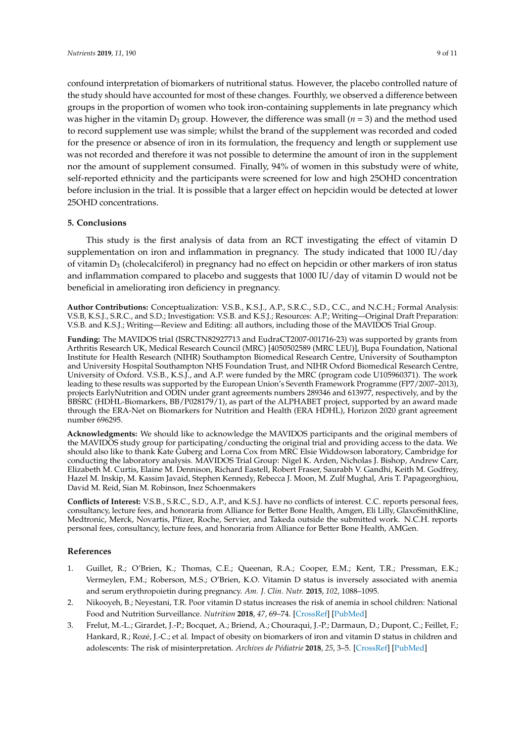confound interpretation of biomarkers of nutritional status. However, the placebo controlled nature of the study should have accounted for most of these changes. Fourthly, we observed a difference between groups in the proportion of women who took iron-containing supplements in late pregnancy which was higher in the vitamin  $D_3$  group. However, the difference was small ( $n = 3$ ) and the method used to record supplement use was simple; whilst the brand of the supplement was recorded and coded for the presence or absence of iron in its formulation, the frequency and length or supplement use was not recorded and therefore it was not possible to determine the amount of iron in the supplement nor the amount of supplement consumed. Finally, 94% of women in this substudy were of white, self-reported ethnicity and the participants were screened for low and high 25OHD concentration before inclusion in the trial. It is possible that a larger effect on hepcidin would be detected at lower 25OHD concentrations.

## **5. Conclusions**

This study is the first analysis of data from an RCT investigating the effect of vitamin D supplementation on iron and inflammation in pregnancy. The study indicated that 1000 IU/day of vitamin  $D_3$  (cholecalciferol) in pregnancy had no effect on hepcidin or other markers of iron status and inflammation compared to placebo and suggests that 1000 IU/day of vitamin D would not be beneficial in ameliorating iron deficiency in pregnancy.

**Author Contributions:** Conceptualization: V.S.B., K.S.J., A.P., S.R.C., S.D., C.C., and N.C.H.; Formal Analysis: V.S.B, K.S.J., S.R.C., and S.D.; Investigation: V.S.B. and K.S.J.; Resources: A.P.; Writing—Original Draft Preparation: V.S.B. and K.S.J.; Writing—Review and Editing: all authors, including those of the MAVIDOS Trial Group.

**Funding:** The MAVIDOS trial (ISRCTN82927713 and EudraCT2007-001716-23) was supported by grants from Arthritis Research UK, Medical Research Council (MRC) [4050502589 (MRC LEU)], Bupa Foundation, National Institute for Health Research (NIHR) Southampton Biomedical Research Centre, University of Southampton and University Hospital Southampton NHS Foundation Trust, and NIHR Oxford Biomedical Research Centre, University of Oxford. V.S.B., K.S.J., and A.P. were funded by the MRC (program code U105960371). The work leading to these results was supported by the European Union's Seventh Framework Programme (FP7/2007–2013), projects EarlyNutrition and ODIN under grant agreements numbers 289346 and 613977, respectively, and by the BBSRC (HDHL-Biomarkers, BB/P028179/1), as part of the ALPHABET project, supported by an award made through the ERA-Net on Biomarkers for Nutrition and Health (ERA HDHL), Horizon 2020 grant agreement number 696295.

**Acknowledgments:** We should like to acknowledge the MAVIDOS participants and the original members of the MAVIDOS study group for participating/conducting the original trial and providing access to the data. We should also like to thank Kate Guberg and Lorna Cox from MRC Elsie Widdowson laboratory, Cambridge for conducting the laboratory analysis. MAVIDOS Trial Group: Nigel K. Arden, Nicholas J. Bishop, Andrew Carr, Elizabeth M. Curtis, Elaine M. Dennison, Richard Eastell, Robert Fraser, Saurabh V. Gandhi, Keith M. Godfrey, Hazel M. Inskip, M. Kassim Javaid, Stephen Kennedy, Rebecca J. Moon, M. Zulf Mughal, Aris T. Papageorghiou, David M. Reid, Sian M. Robinson, Inez Schoenmakers

**Conflicts of Interest:** V.S.B., S.R.C., S.D., A.P., and K.S.J. have no conflicts of interest. C.C. reports personal fees, consultancy, lecture fees, and honoraria from Alliance for Better Bone Health, Amgen, Eli Lilly, GlaxoSmithKline, Medtronic, Merck, Novartis, Pfizer, Roche, Servier, and Takeda outside the submitted work. N.C.H. reports personal fees, consultancy, lecture fees, and honoraria from Alliance for Better Bone Health, AMGen.

## **References**

- <span id="page-8-0"></span>1. Guillet, R.; O'Brien, K.; Thomas, C.E.; Queenan, R.A.; Cooper, E.M.; Kent, T.R.; Pressman, E.K.; Vermeylen, F.M.; Roberson, M.S.; O'Brien, K.O. Vitamin D status is inversely associated with anemia and serum erythropoietin during pregnancy. *Am. J. Clin. Nutr.* **2015**, *102*, 1088–1095.
- <span id="page-8-1"></span>2. Nikooyeh, B.; Neyestani, T.R. Poor vitamin D status increases the risk of anemia in school children: National Food and Nutrition Surveillance. *Nutrition* **2018**, *47*, 69–74. [\[CrossRef\]](http://dx.doi.org/10.1016/j.nut.2017.09.008) [\[PubMed\]](http://www.ncbi.nlm.nih.gov/pubmed/29429539)
- <span id="page-8-2"></span>3. Frelut, M.-L.; Girardet, J.-P.; Bocquet, A.; Briend, A.; Chouraqui, J.-P.; Darmaun, D.; Dupont, C.; Feillet, F.; Hankard, R.; Rozé, J.-C.; et al. Impact of obesity on biomarkers of iron and vitamin D status in children and adolescents: The risk of misinterpretation. *Archives de Pédiatrie* **2018**, *25*, 3–5. [\[CrossRef\]](http://dx.doi.org/10.1016/j.arcped.2017.11.011) [\[PubMed\]](http://www.ncbi.nlm.nih.gov/pubmed/29249400)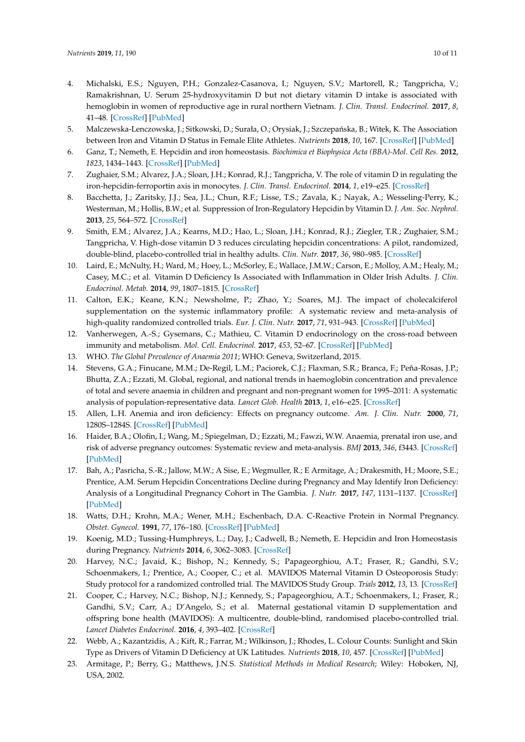- 4. Michalski, E.S.; Nguyen, P.H.; Gonzalez-Casanova, I.; Nguyen, S.V.; Martorell, R.; Tangpricha, V.; Ramakrishnan, U. Serum 25-hydroxyvitamin D but not dietary vitamin D intake is associated with hemoglobin in women of reproductive age in rural northern Vietnam. *J. Clin. Transl. Endocrinol.* **2017**, *8*, 41–48. [\[CrossRef\]](http://dx.doi.org/10.1016/j.jcte.2017.05.001) [\[PubMed\]](http://www.ncbi.nlm.nih.gov/pubmed/29067258)
- <span id="page-9-0"></span>5. Malczewska-Lenczowska, J.; Sitkowski, D.; Surała, O.; Orysiak, J.; Szczepańska, B.; Witek, K. The Association between Iron and Vitamin D Status in Female Elite Athletes. *Nutrients* **2018**, *10*, 167. [\[CrossRef\]](http://dx.doi.org/10.3390/nu10020167) [\[PubMed\]](http://www.ncbi.nlm.nih.gov/pubmed/29385099)
- <span id="page-9-1"></span>6. Ganz, T.; Nemeth, E. Hepcidin and iron homeostasis. *Biochimica et Biophysica Acta (BBA)-Mol. Cell Res.* **2012**, *1823*, 1434–1443. [\[CrossRef\]](http://dx.doi.org/10.1016/j.bbamcr.2012.01.014) [\[PubMed\]](http://www.ncbi.nlm.nih.gov/pubmed/22306005)
- <span id="page-9-2"></span>7. Zughaier, S.M.; Alvarez, J.A.; Sloan, J.H.; Konrad, R.J.; Tangpricha, V. The role of vitamin D in regulating the iron-hepcidin-ferroportin axis in monocytes. *J. Clin. Transl. Endocrinol.* **2014**, *1*, e19–e25. [\[CrossRef\]](http://dx.doi.org/10.1016/j.jcte.2014.01.003)
- <span id="page-9-3"></span>8. Bacchetta, J.; Zaritsky, J.J.; Sea, J.L.; Chun, R.F.; Lisse, T.S.; Zavala, K.; Nayak, A.; Wesseling-Perry, K.; Westerman, M.; Hollis, B.W.; et al. Suppression of Iron-Regulatory Hepcidin by Vitamin D. *J. Am. Soc. Nephrol.* **2013**, *25*, 564–572. [\[CrossRef\]](http://dx.doi.org/10.1681/ASN.2013040355)
- <span id="page-9-4"></span>9. Smith, E.M.; Alvarez, J.A.; Kearns, M.D.; Hao, L.; Sloan, J.H.; Konrad, R.J.; Ziegler, T.R.; Zughaier, S.M.; Tangpricha, V. High-dose vitamin D 3 reduces circulating hepcidin concentrations: A pilot, randomized, double-blind, placebo-controlled trial in healthy adults. *Clin. Nutr.* **2017**, *36*, 980–985. [\[CrossRef\]](http://dx.doi.org/10.1016/j.clnu.2016.06.015)
- <span id="page-9-5"></span>10. Laird, E.; McNulty, H.; Ward, M.; Hoey, L.; McSorley, E.; Wallace, J.M.W.; Carson, E.; Molloy, A.M.; Healy, M.; Casey, M.C.; et al. Vitamin D Deficiency Is Associated with Inflammation in Older Irish Adults. *J. Clin. Endocrinol. Metab.* **2014**, *99*, 1807–1815. [\[CrossRef\]](http://dx.doi.org/10.1210/jc.2013-3507)
- <span id="page-9-18"></span>11. Calton, E.K.; Keane, K.N.; Newsholme, P.; Zhao, Y.; Soares, M.J. The impact of cholecalciferol supplementation on the systemic inflammatory profile: A systematic review and meta-analysis of high-quality randomized controlled trials. *Eur. J. Clin. Nutr.* **2017**, *71*, 931–943. [\[CrossRef\]](http://dx.doi.org/10.1038/ejcn.2017.67) [\[PubMed\]](http://www.ncbi.nlm.nih.gov/pubmed/28488684)
- <span id="page-9-6"></span>12. Vanherwegen, A.-S.; Gysemans, C.; Mathieu, C. Vitamin D endocrinology on the cross-road between immunity and metabolism. *Mol. Cell. Endocrinol.* **2017**, *453*, 52–67. [\[CrossRef\]](http://dx.doi.org/10.1016/j.mce.2017.04.018) [\[PubMed\]](http://www.ncbi.nlm.nih.gov/pubmed/28461074)
- <span id="page-9-7"></span>13. WHO. *The Global Prevalence of Anaemia 2011*; WHO: Geneva, Switzerland, 2015.
- <span id="page-9-8"></span>14. Stevens, G.A.; Finucane, M.M.; De-Regil, L.M.; Paciorek, C.J.; Flaxman, S.R.; Branca, F.; Peña-Rosas, J.P.; Bhutta, Z.A.; Ezzati, M. Global, regional, and national trends in haemoglobin concentration and prevalence of total and severe anaemia in children and pregnant and non-pregnant women for 1995–2011: A systematic analysis of population-representative data. *Lancet Glob. Health* **2013**, *1*, e16–e25. [\[CrossRef\]](http://dx.doi.org/10.1016/S2214-109X(13)70001-9)
- <span id="page-9-9"></span>15. Allen, L.H. Anemia and iron deficiency: Effects on pregnancy outcome. *Am. J. Clin. Nutr.* **2000**, *71*, 1280S–1284S. [\[CrossRef\]](http://dx.doi.org/10.1093/ajcn/71.5.1280s) [\[PubMed\]](http://www.ncbi.nlm.nih.gov/pubmed/10799402)
- <span id="page-9-10"></span>16. Haider, B.A.; Olofin, I.; Wang, M.; Spiegelman, D.; Ezzati, M.; Fawzi, W.W. Anaemia, prenatal iron use, and risk of adverse pregnancy outcomes: Systematic review and meta-analysis. *BMJ* **2013**, *346*, f3443. [\[CrossRef\]](http://dx.doi.org/10.1136/bmj.f3443) [\[PubMed\]](http://www.ncbi.nlm.nih.gov/pubmed/23794316)
- <span id="page-9-11"></span>17. Bah, A.; Pasricha, S.-R.; Jallow, M.W.; A Sise, E.; Wegmuller, R.; E Armitage, A.; Drakesmith, H.; Moore, S.E.; Prentice, A.M. Serum Hepcidin Concentrations Decline during Pregnancy and May Identify Iron Deficiency: Analysis of a Longitudinal Pregnancy Cohort in The Gambia. *J. Nutr.* **2017**, *147*, 1131–1137. [\[CrossRef\]](http://dx.doi.org/10.3945/jn.116.245373) [\[PubMed\]](http://www.ncbi.nlm.nih.gov/pubmed/28424258)
- <span id="page-9-12"></span>18. Watts, D.H.; Krohn, M.A.; Wener, M.H.; Eschenbach, D.A. C-Reactive Protein in Normal Pregnancy. *Obstet. Gynecol.* **1991**, *77*, 176–180. [\[CrossRef\]](http://dx.doi.org/10.1097/00006250-199102000-00002) [\[PubMed\]](http://www.ncbi.nlm.nih.gov/pubmed/1988876)
- <span id="page-9-13"></span>19. Koenig, M.D.; Tussing-Humphreys, L.; Day, J.; Cadwell, B.; Nemeth, E. Hepcidin and Iron Homeostasis during Pregnancy. *Nutrients* **2014**, *6*, 3062–3083. [\[CrossRef\]](http://dx.doi.org/10.3390/nu6083062)
- <span id="page-9-14"></span>20. Harvey, N.C.; Javaid, K.; Bishop, N.; Kennedy, S.; Papageorghiou, A.T.; Fraser, R.; Gandhi, S.V.; Schoenmakers, I.; Prentice, A.; Cooper, C.; et al. MAVIDOS Maternal Vitamin D Osteoporosis Study: Study protocol for a randomized controlled trial. The MAVIDOS Study Group. *Trials* **2012**, *13*, 13. [\[CrossRef\]](http://dx.doi.org/10.1186/1745-6215-13-13)
- <span id="page-9-15"></span>21. Cooper, C.; Harvey, N.C.; Bishop, N.J.; Kennedy, S.; Papageorghiou, A.T.; Schoenmakers, I.; Fraser, R.; Gandhi, S.V.; Carr, A.; D'Angelo, S.; et al. Maternal gestational vitamin D supplementation and offspring bone health (MAVIDOS): A multicentre, double-blind, randomised placebo-controlled trial. *Lancet Diabetes Endocrinol.* **2016**, *4*, 393–402. [\[CrossRef\]](http://dx.doi.org/10.1016/S2213-8587(16)00044-9)
- <span id="page-9-16"></span>22. Webb, A.; Kazantzidis, A.; Kift, R.; Farrar, M.; Wilkinson, J.; Rhodes, L. Colour Counts: Sunlight and Skin Type as Drivers of Vitamin D Deficiency at UK Latitudes. *Nutrients* **2018**, *10*, 457. [\[CrossRef\]](http://dx.doi.org/10.3390/nu10040457) [\[PubMed\]](http://www.ncbi.nlm.nih.gov/pubmed/29642423)
- <span id="page-9-17"></span>23. Armitage, P.; Berry, G.; Matthews, J.N.S. *Statistical Methods in Medical Research*; Wiley: Hoboken, NJ, USA, 2002.